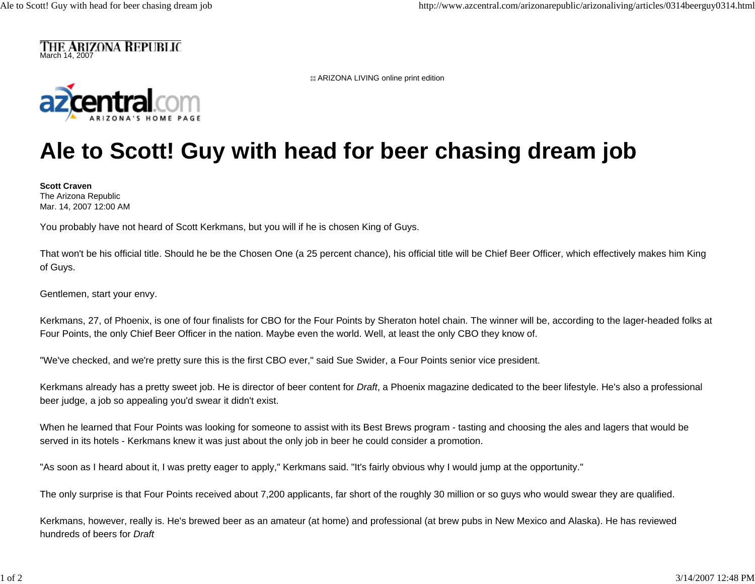

**H** ARIZONA LIVING online print edition



## **Ale to Scott! Guy with head for beer chasing dream job**

**Scott Craven**The Arizona Republic Mar. 14, 2007 12:00 AM

You probably have not heard of Scott Kerkmans, but you will if he is chosen King of Guys.

That won't be his official title. Should he be the Chosen One (a 25 percent chance), his official title will be Chief Beer Officer, which effectively makes him King of Guys.

Gentlemen, start your envy.

Kerkmans, 27, of Phoenix, is one of four finalists for CBO for the Four Points by Sheraton hotel chain. The winner will be, according to the lager-headed folks at Four Points, the only Chief Beer Officer in the nation. Maybe even the world. Well, at least the only CBO they know of.

"We've checked, and we're pretty sure this is the first CBO ever," said Sue Swider, a Four Points senior vice president.

Kerkmans already has a pretty sweet job. He is director of beer content for *Draft*, a Phoenix magazine dedicated to the beer lifestyle. He's also a professional beer judge, a job so appealing you'd swear it didn't exist.

When he learned that Four Points was looking for someone to assist with its Best Brews program - tasting and choosing the ales and lagers that would be served in its hotels - Kerkmans knew it was just about the only job in beer he could consider a promotion.

"As soon as I heard about it, I was pretty eager to apply," Kerkmans said. "It's fairly obvious why I would jump at the opportunity."

The only surprise is that Four Points received about 7,200 applicants, far short of the roughly 30 million or so guys who would swear they are qualified.

Kerkmans, however, really is. He's brewed beer as an amateur (at home) and professional (at brew pubs in New Mexico and Alaska). He has reviewed hundreds of beers for *Draft*